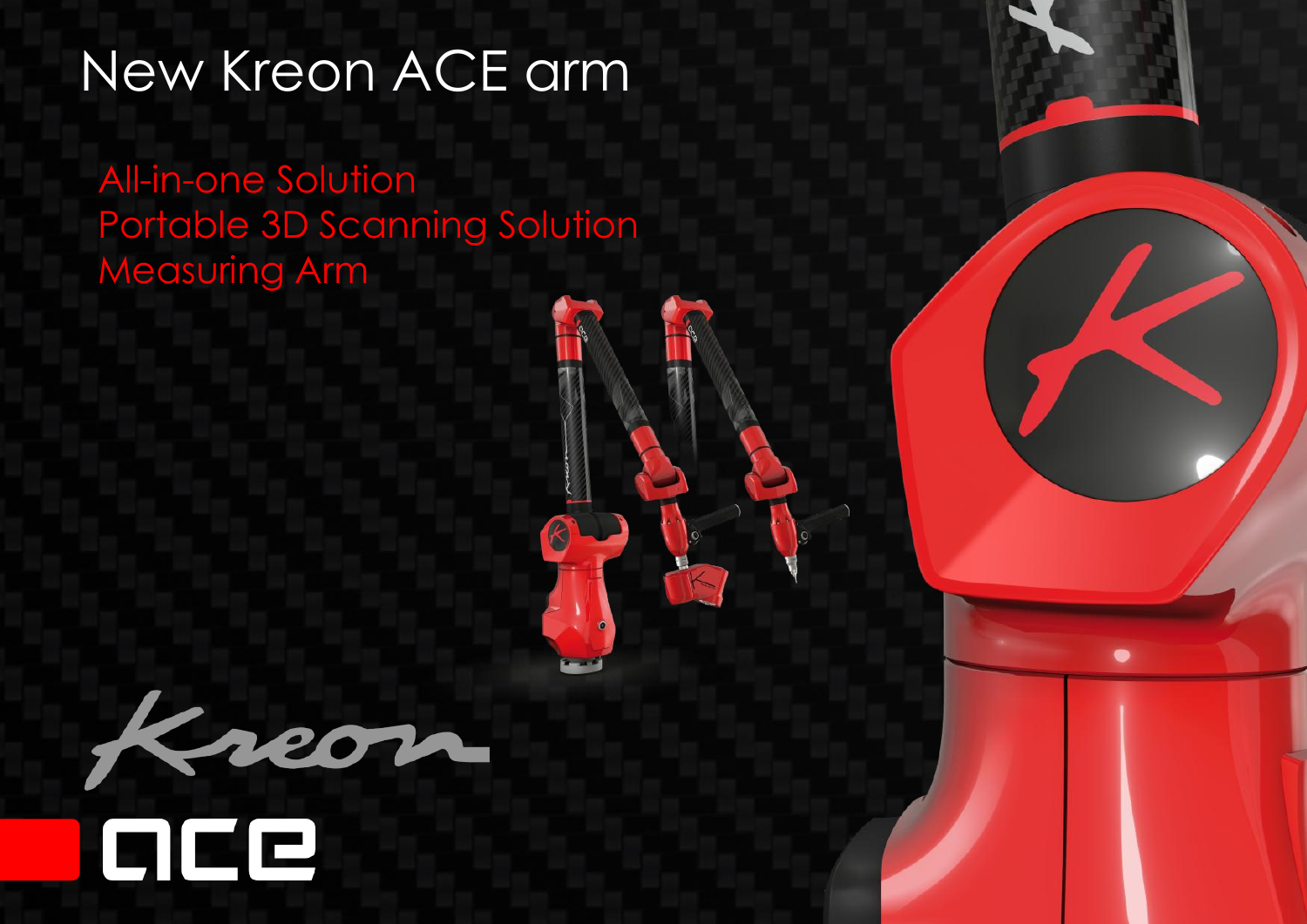## New Kreon ACE arm

All-in-one Solution Portable 3D Scanning Solution Measuring Arm